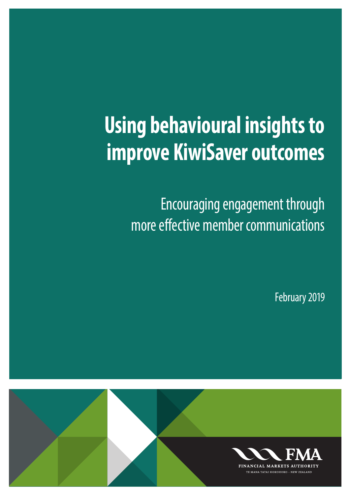# **Using behavioural insights to improve KiwiSaver outcomes**

Encouraging engagement through more effective member communications

February 2019

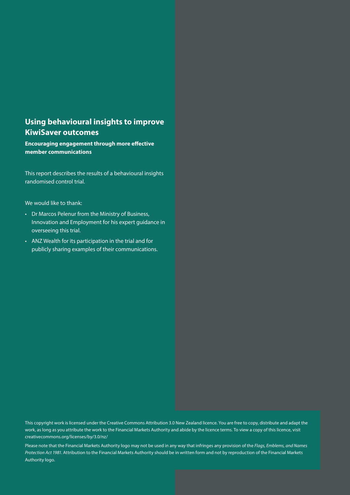# **Using behavioural insights to improve KiwiSaver outcomes**

### **Encouraging engagement through more effective member communications**

This report describes the results of a behavioural insights randomised control trial.

We would like to thank:

- Dr Marcos Pelenur from the Ministry of Business, Innovation and Employment for his expert guidance in overseeing this trial.
- ANZ Wealth for its participation in the trial and for publicly sharing examples of their communications.

This copyright work is licensed under the Creative Commons Attribution 3.0 New Zealand licence. You are free to copy, distribute and adapt the work, as long as you attribute the work to the Financial Markets Authority and abide by the licence terms. To view a copy of this licence, visit [creativecommons.org/licenses/by/3.0/nz/](http://creativecommons.org/licenses/by/3.0/nz/)

Please note that the Financial Markets Authority logo may not be used in any way that infringes any provision of the *Flags, Emblems, and Names Protection Act 1981*. Attribution to the Financial Markets Authority should be in written form and not by reproduction of the Financial Markets Authority logo.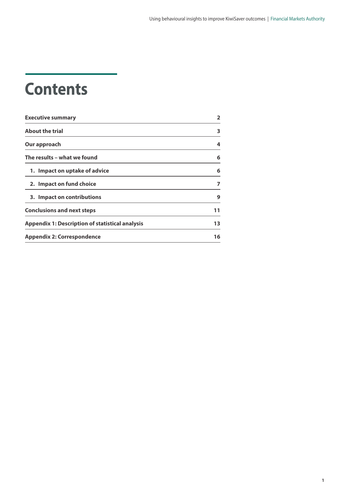# **Contents**

| <b>Executive summary</b>                               | $\overline{\mathbf{2}}$ |
|--------------------------------------------------------|-------------------------|
| <b>About the trial</b>                                 | 3                       |
| Our approach                                           | 4                       |
| The results – what we found                            | 6                       |
| 1. Impact on uptake of advice                          | 6                       |
| 2. Impact on fund choice                               | 7                       |
| 3. Impact on contributions                             | 9                       |
| <b>Conclusions and next steps</b>                      | 11                      |
| <b>Appendix 1: Description of statistical analysis</b> | 1 <sub>3</sub>          |
| <b>Appendix 2: Correspondence</b>                      | 16                      |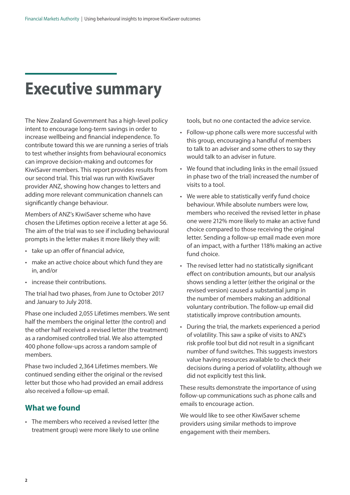# **Executive summary**

The New Zealand Government has a high-level policy intent to encourage long-term savings in order to increase wellbeing and financial independence. To contribute toward this we are running a series of trials to test whether insights from behavioural economics can improve decision-making and outcomes for KiwiSaver members. This report provides results from our second trial. This trial was run with KiwiSaver provider ANZ, showing how changes to letters and adding more relevant communication channels can significantly change behaviour.

Members of ANZ's KiwiSaver scheme who have chosen the Lifetimes option receive a letter at age 56. The aim of the trial was to see if including behavioural prompts in the letter makes it more likely they will:

- take up an offer of financial advice,
- make an active choice about which fund they are in, and/or
- increase their contributions.

The trial had two phases, from June to October 2017 and January to July 2018.

Phase one included 2,055 Lifetimes members. We sent half the members the original letter (the control) and the other half received a revised letter (the treatment) as a randomised controlled trial. We also attempted 400 phone follow-ups across a random sample of members.

Phase two included 2,364 Lifetimes members. We continued sending either the original or the revised letter but those who had provided an email address also received a follow-up email.

## **What we found**

• The members who received a revised letter (the treatment group) were more likely to use online tools, but no one contacted the advice service.

- Follow-up phone calls were more successful with this group, encouraging a handful of members to talk to an adviser and some others to say they would talk to an adviser in future.
- We found that including links in the email (issued in phase two of the trial) increased the number of visits to a tool.
- We were able to statistically verify fund choice behaviour. While absolute numbers were low, members who received the revised letter in phase one were 212% more likely to make an active fund choice compared to those receiving the original letter. Sending a follow-up email made even more of an impact, with a further 118% making an active fund choice.
- The revised letter had no statistically significant effect on contribution amounts, but our analysis shows sending a letter (either the original or the revised version) caused a substantial jump in the number of members making an additional voluntary contribution. The follow-up email did statistically improve contribution amounts.
- During the trial, the markets experienced a period of volatility. This saw a spike of visits to ANZ's risk profile tool but did not result in a significant number of fund switches. This suggests investors value having resources available to check their decisions during a period of volatility, although we did not explicitly test this link.

These results demonstrate the importance of using follow-up communications such as phone calls and emails to encourage action.

We would like to see other KiwiSaver scheme providers using similar methods to improve engagement with their members.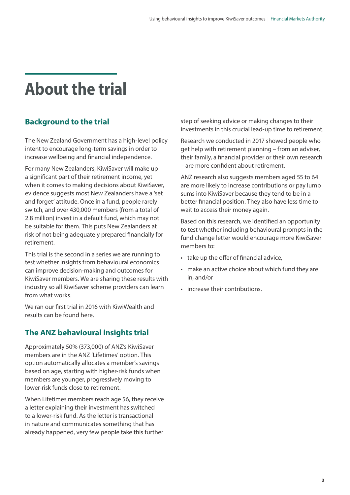# **About the trial**

# **Background to the trial**

The New Zealand Government has a high-level policy intent to encourage long-term savings in order to increase wellbeing and financial independence.

For many New Zealanders, KiwiSaver will make up a significant part of their retirement income, yet when it comes to making decisions about KiwiSaver, evidence suggests most New Zealanders have a 'set and forget' attitude. Once in a fund, people rarely switch, and over 430,000 members (from a total of 2.8 million) invest in a default fund, which may not be suitable for them. This puts New Zealanders at risk of not being adequately prepared financially for retirement.

This trial is the second in a series we are running to test whether insights from behavioural economics can improve decision-making and outcomes for KiwiSaver members. We are sharing these results with industry so all KiwiSaver scheme providers can learn from what works.

We ran our first trial in 2016 with KiwiWealth and results can be found [here.](https://fma.govt.nz/assets/Reports/170602-KiwiWealth-behavioural-insights.pdf)

# **The ANZ behavioural insights trial**

Approximately 50% (373,000) of ANZ's KiwiSaver members are in the ANZ 'Lifetimes' option. This option automatically allocates a member's savings based on age, starting with higher-risk funds when members are younger, progressively moving to lower-risk funds close to retirement.

When Lifetimes members reach age 56, they receive a letter explaining their investment has switched to a lower-risk fund. As the letter is transactional in nature and communicates something that has already happened, very few people take this further

step of seeking advice or making changes to their investments in this crucial lead-up time to retirement.

Research we conducted in 2017 showed people who get help with retirement planning – from an adviser, their family, a financial provider or their own research – are more confident about retirement.

ANZ research also suggests members aged 55 to 64 are more likely to increase contributions or pay lump sums into KiwiSaver because they tend to be in a better financial position. They also have less time to wait to access their money again.

Based on this research, we identified an opportunity to test whether including behavioural prompts in the fund change letter would encourage more KiwiSaver members to:

- take up the offer of financial advice,
- make an active choice about which fund they are in, and/or
- increase their contributions.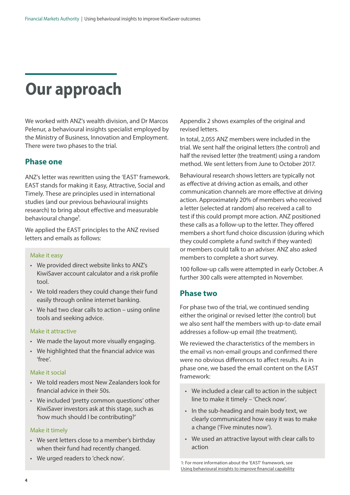# **Our approach**

We worked with ANZ's wealth division, and Dr Marcos Pelenur, a behavioural insights specialist employed by the Ministry of Business, Innovation and Employment. There were two phases to the trial.

## **Phase one**

ANZ's letter was rewritten using the 'EAST' framework. EAST stands for making it Easy, Attractive, Social and Timely. These are principles used in international studies (and our previous behavioural insights research) to bring about effective and measurable behavioural change<sup>1</sup>.

We applied the EAST principles to the ANZ revised letters and emails as follows:

#### Make it easy

- We provided direct website links to ANZ's KiwiSaver account calculator and a risk profile tool.
- We told readers they could change their fund easily through online internet banking.
- We had two clear calls to action using online tools and seeking advice.

#### Make it attractive

- We made the layout more visually engaging.
- We highlighted that the financial advice was 'free'.

#### Make it social

- We told readers most New Zealanders look for financial advice in their 50s.
- We included 'pretty common questions' other KiwiSaver investors ask at this stage, such as 'how much should I be contributing?'

### Make it timely

- We sent letters close to a member's birthday when their fund had recently changed.
- We urged readers to 'check now'.

Appendix 2 shows examples of the original and revised letters.

In total, 2,055 ANZ members were included in the trial. We sent half the original letters (the control) and half the revised letter (the treatment) using a random method. We sent letters from June to October 2017.

Behavioural research shows letters are typically not as effective at driving action as emails, and other communication channels are more effective at driving action. Approximately 20% of members who received a letter (selected at random) also received a call to test if this could prompt more action. ANZ positioned these calls as a follow-up to the letter. They offered members a short fund choice discussion (during which they could complete a fund switch if they wanted) or members could talk to an adviser. ANZ also asked members to complete a short survey.

100 follow-up calls were attempted in early October. A further 300 calls were attempted in November.

## **Phase two**

For phase two of the trial, we continued sending either the original or revised letter (the control) but we also sent half the members with up-to-date email addresses a follow-up email (the treatment).

We reviewed the characteristics of the members in the email vs non-email groups and confirmed there were no obvious differences to affect results. As in phase one, we based the email content on the EAST framework:

- We included a clear call to action in the subject line to make it timely – 'Check now'.
- In the sub-heading and main body text, we clearly communicated how easy it was to make a change ('Five minutes now').
- We used an attractive layout with clear calls to action

1: For more information about the 'EAST' framework, see [Using behavioural insights to improve financial capability](https://fma.govt.nz/assets/Reports/160420-Whitepaper-Behavioural-Insight.pdf)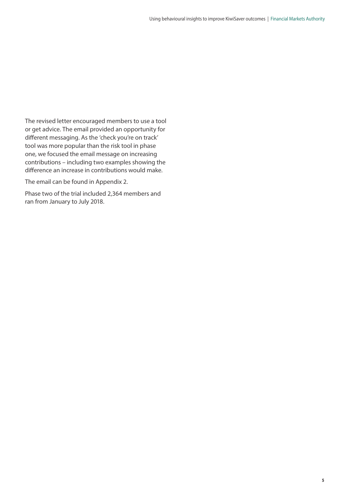The revised letter encouraged members to use a tool or get advice. The email provided an opportunity for different messaging. As the 'check you're on track' tool was more popular than the risk tool in phase one, we focused the email message on increasing contributions – including two examples showing the difference an increase in contributions would make.

The email can be found in Appendix 2.

Phase two of the trial included 2,364 members and ran from January to July 2018.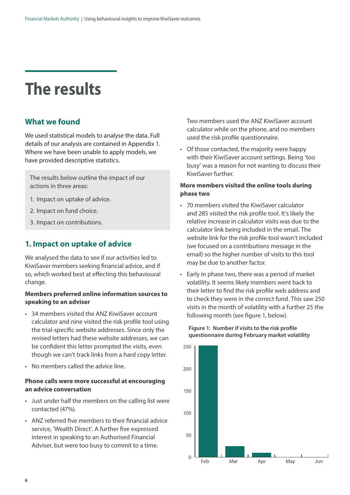# **The results**

## **What we found**

We used statistical models to analyse the data. Full details of our analysis are contained in Appendix 1. Where we have been unable to apply models, we have provided descriptive statistics.

The results below outline the impact of our actions in three areas:

- 1. Impact on uptake of advice.
- 2. Impact on fund choice.
- 3. Impact on contributions.

## **1. Impact on uptake of advice**

We analysed the data to see if our activities led to KiwiSaver members seeking financial advice, and if so, which worked best at effecting this behavioural change.

## **Members preferred online information sources to speaking to an adviser**

- 34 members visited the ANZ KiwiSaver account calculator and nine visited the risk profile tool using the trial-specific website addresses. Since only the revised letters had these website addresses, we can be confident this letter prompted the visits, even though we can't track links from a hard copy letter.
- No members called the advice line.

### **Phone calls were more successful at encouraging an advice conversation**

- Just under half the members on the calling list were contacted (47%).
- ANZ referred five members to their financial advice service, 'Wealth Direct'. A further five expressed interest in speaking to an Authorised Financial Adviser, but were too busy to commit to a time.

Two members used the ANZ KiwiSaver account calculator while on the phone, and no members used the risk profile questionnaire.

• Of those contacted, the majority were happy with their KiwiSaver account settings. Being 'too busy' was a reason for not wanting to discuss their KiwiSaver further.

## **More members visited the online tools during phase two**

- 70 members visited the KiwiSaver calculator and 285 visited the risk profile tool. It's likely the relative increase in calculator visits was due to the calculator link being included in the email. The website link for the risk profile tool wasn't included (we focused on a contributions message in the email) so the higher number of visits to this tool may be due to another factor.
- Early in phase two, there was a period of market volatility. It seems likely members went back to their letter to find the risk profile web address and to check they were in the correct fund. This saw 250 visits in the month of volatility with a further 25 the following month (see figure 1, below).

#### **Figure 1: Number if visits to the risk profile questionnaire during February market volatility**

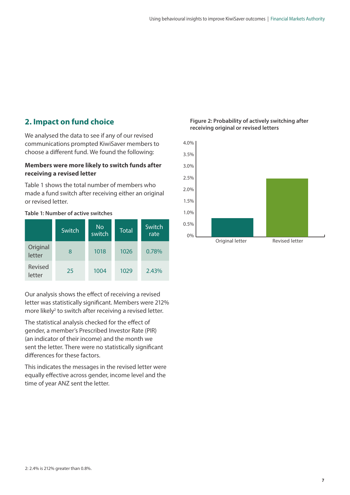# **2. Impact on fund choice**

We analysed the data to see if any of our revised communications prompted KiwiSaver members to choose a different fund. We found the following:

## **Members were more likely to switch funds after receiving a revised letter**

Table 1 shows the total number of members who made a fund switch after receiving either an original or revised letter.

**Table 1: Number of active switches**

|                    | Switch | <b>No</b><br>switch | <b>Total</b> | Switch<br>rate |
|--------------------|--------|---------------------|--------------|----------------|
| Original<br>letter | 8      | 1018                | 1026         | 0.78%          |
| Revised<br>letter  | 25     | 1004                | 1029         | 2.43%          |

Our analysis shows the effect of receiving a revised letter was statistically significant. Members were 212% more likely<sup>2</sup> to switch after receiving a revised letter.

The statistical analysis checked for the effect of gender, a member's Prescribed Investor Rate (PIR) (an indicator of their income) and the month we sent the letter. There were no statistically significant differences for these factors.

This indicates the messages in the revised letter were equally effective across gender, income level and the time of year ANZ sent the letter.



#### **Figure 2: Probability of actively switching after receiving original or revised letters**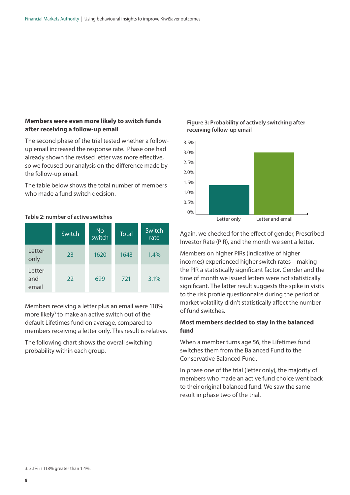## **Members were even more likely to switch funds after receiving a follow-up email**

The second phase of the trial tested whether a followup email increased the response rate. Phase one had already shown the revised letter was more effective, so we focused our analysis on the difference made by the follow-up email.

The table below shows the total number of members who made a fund switch decision.

### **Table 2: number of active switches**

|                        | Switch | <b>No</b><br>switch | <b>Total</b> | Switch<br>rate |
|------------------------|--------|---------------------|--------------|----------------|
| Letter<br>only         | 23     | 1620                | 1643         | 1.4%           |
| Letter<br>and<br>email | 22     | 699                 | 721          | 3.1%           |

Members receiving a letter plus an email were 118% more likely<sup>3</sup> to make an active switch out of the default Lifetimes fund on average, compared to members receiving a letter only. This result is relative.

The following chart shows the overall switching probability within each group.

### **Figure 3: Probability of actively switching after receiving follow-up email**



Again, we checked for the effect of gender, Prescribed Investor Rate (PIR), and the month we sent a letter.

Members on higher PIRs (indicative of higher incomes) experienced higher switch rates – making the PIR a statistically significant factor. Gender and the time of month we issued letters were not statistically significant. The latter result suggests the spike in visits to the risk profile questionnaire during the period of market volatility didn't statistically affect the number of fund switches.

### **Most members decided to stay in the balanced fund**

When a member turns age 56, the Lifetimes fund switches them from the Balanced Fund to the Conservative Balanced Fund.

In phase one of the trial (letter only), the majority of members who made an active fund choice went back to their original balanced fund. We saw the same result in phase two of the trial.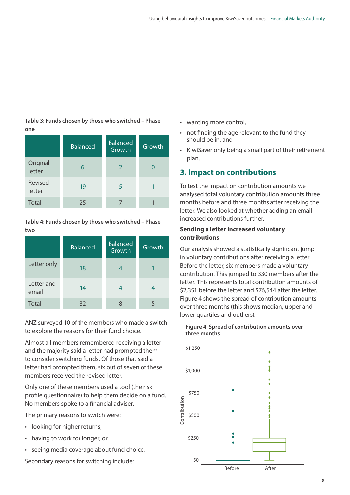|                    | <b>Balanced</b> | <b>Balanced</b><br>Growth | Growth |
|--------------------|-----------------|---------------------------|--------|
| Original<br>letter | 6               | 2                         | O      |
| Revised<br>letter  | 19              | 5                         |        |
| <b>Total</b>       | 25              |                           |        |

**Table 3: Funds chosen by those who switched – Phase one**

**Table 4: Funds chosen by those who switched – Phase two**

|                     | <b>Balanced</b> | <b>Balanced</b><br>Growth | Growth |
|---------------------|-----------------|---------------------------|--------|
| Letter only         | 18              |                           |        |
| Letter and<br>email | 14              | 4                         | 4      |
| <b>Total</b>        | 32              |                           | 5      |

ANZ surveyed 10 of the members who made a switch to explore the reasons for their fund choice.

Almost all members remembered receiving a letter and the majority said a letter had prompted them to consider switching funds. Of those that said a letter had prompted them, six out of seven of these members received the revised letter.

Only one of these members used a tool (the risk profile questionnaire) to help them decide on a fund. No members spoke to a financial adviser.

The primary reasons to switch were:

- looking for higher returns,
- having to work for longer, or
- seeing media coverage about fund choice.

Secondary reasons for switching include:

- wanting more control,
- not finding the age relevant to the fund they should be in, and
- KiwiSaver only being a small part of their retirement plan.

# **3. Impact on contributions**

To test the impact on contribution amounts we analysed total voluntary contribution amounts three months before and three months after receiving the letter. We also looked at whether adding an email increased contributions further.

## **Sending a letter increased voluntary contributions**

Our analysis showed a statistically significant jump in voluntary contributions after receiving a letter. Before the letter, six members made a voluntary contribution. This jumped to 330 members after the letter. This represents total contribution amounts of \$2,351 before the letter and \$76,544 after the letter. Figure 4 shows the spread of contribution amounts over three months (this shows median, upper and lower quartiles and outliers).

### **Figure 4: Spread of contribution amounts over three months**

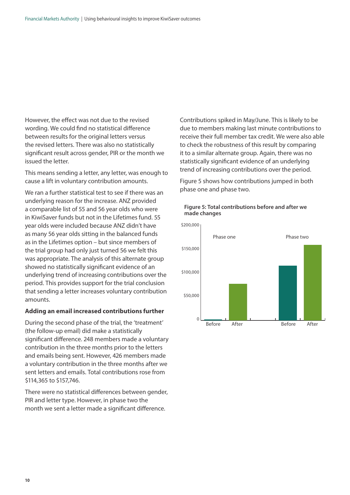However, the effect was not due to the revised wording. We could find no statistical difference between results for the original letters versus the revised letters. There was also no statistically significant result across gender, PIR or the month we issued the letter.

This means sending a letter, any letter, was enough to cause a lift in voluntary contribution amounts.

We ran a further statistical test to see if there was an underlying reason for the increase. ANZ provided a comparable list of 55 and 56 year olds who were in KiwiSaver funds but not in the Lifetimes fund. 55 year olds were included because ANZ didn't have as many 56 year olds sitting in the balanced funds as in the Lifetimes option – but since members of the trial group had only just turned 56 we felt this was appropriate. The analysis of this alternate group showed no statistically significant evidence of an underlying trend of increasing contributions over the period. This provides support for the trial conclusion that sending a letter increases voluntary contribution amounts.

#### **Adding an email increased contributions further**

During the second phase of the trial, the 'treatment' (the follow-up email) did make a statistically significant difference. 248 members made a voluntary contribution in the three months prior to the letters and emails being sent. However, 426 members made a voluntary contribution in the three months after we sent letters and emails. Total contributions rose from \$114,365 to \$157,746.

There were no statistical differences between gender, PIR and letter type. However, in phase two the month we sent a letter made a significant difference.

Contributions spiked in May/June. This is likely to be due to members making last minute contributions to receive their full member tax credit. We were also able to check the robustness of this result by comparing it to a similar alternate group. Again, there was no statistically significant evidence of an underlying trend of increasing contributions over the period.

Figure 5 shows how contributions jumped in both phase one and phase two.



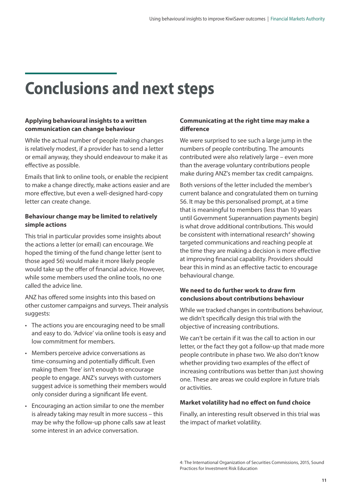# **Conclusions and next steps**

## **Applying behavioural insights to a written communication can change behaviour**

While the actual number of people making changes is relatively modest, if a provider has to send a letter or email anyway, they should endeavour to make it as effective as possible.

Emails that link to online tools, or enable the recipient to make a change directly, make actions easier and are more effective, but even a well-designed hard-copy letter can create change.

## **Behaviour change may be limited to relatively simple actions**

This trial in particular provides some insights about the actions a letter (or email) can encourage. We hoped the timing of the fund change letter (sent to those aged 56) would make it more likely people would take up the offer of financial advice. However, while some members used the online tools, no one called the advice line.

ANZ has offered some insights into this based on other customer campaigns and surveys. Their analysis suggests:

- The actions you are encouraging need to be small and easy to do. 'Advice' via online tools is easy and low commitment for members.
- Members perceive advice conversations as time-consuming and potentially difficult. Even making them 'free' isn't enough to encourage people to engage. ANZ's surveys with customers suggest advice is something their members would only consider during a significant life event.
- Encouraging an action similar to one the member is already taking may result in more success – this may be why the follow-up phone calls saw at least some interest in an advice conversation.

## **Communicating at the right time may make a difference**

We were surprised to see such a large jump in the numbers of people contributing. The amounts contributed were also relatively large – even more than the average voluntary contributions people make during ANZ's member tax credit campaigns.

Both versions of the letter included the member's current balance and congratulated them on turning 56. It may be this personalised prompt, at a time that is meaningful to members (less than 10 years until Government Superannuation payments begin) is what drove additional contributions. This would be consistent with international research<sup>4</sup> showing targeted communications and reaching people at the time they are making a decision is more effective at improving financial capability. Providers should bear this in mind as an effective tactic to encourage behavioural change.

## **We need to do further work to draw firm conclusions about contributions behaviour**

While we tracked changes in contributions behaviour, we didn't specifically design this trial with the objective of increasing contributions.

We can't be certain if it was the call to action in our letter, or the fact they got a follow-up that made more people contribute in phase two. We also don't know whether providing two examples of the effect of increasing contributions was better than just showing one. These are areas we could explore in future trials or activities.

## **Market volatility had no effect on fund choice**

Finally, an interesting result observed in this trial was the impact of market volatility.

<sup>4:</sup> The International Organization of Securities Commissions, 2015, Sound Practices for Investment Risk Education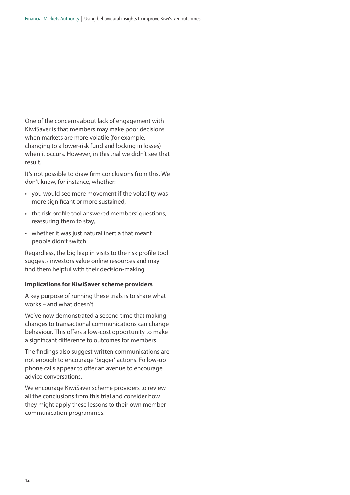One of the concerns about lack of engagement with KiwiSaver is that members may make poor decisions when markets are more volatile (for example, changing to a lower-risk fund and locking in losses) when it occurs. However, in this trial we didn't see that result.

It's not possible to draw firm conclusions from this. We don't know, for instance, whether:

- you would see more movement if the volatility was more significant or more sustained,
- the risk profile tool answered members' questions, reassuring them to stay,
- whether it was just natural inertia that meant people didn't switch.

Regardless, the big leap in visits to the risk profile tool suggests investors value online resources and may find them helpful with their decision-making.

#### **Implications for KiwiSaver scheme providers**

A key purpose of running these trials is to share what works – and what doesn't.

We've now demonstrated a second time that making changes to transactional communications can change behaviour. This offers a low-cost opportunity to make a significant difference to outcomes for members.

The findings also suggest written communications are not enough to encourage 'bigger' actions. Follow-up phone calls appear to offer an avenue to encourage advice conversations.

We encourage KiwiSaver scheme providers to review all the conclusions from this trial and consider how they might apply these lessons to their own member communication programmes.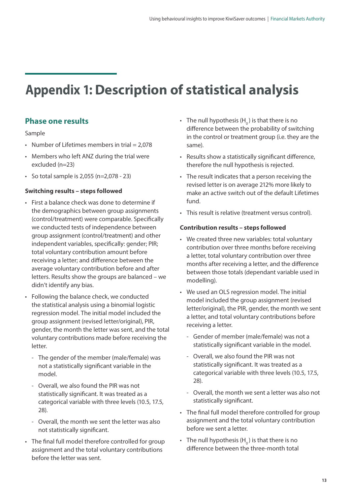# **Appendix 1: Description of statistical analysis**

# **Phase one results**

## Sample

- Number of Lifetimes members in trial = 2,078
- Members who left ANZ during the trial were excluded (n=23)
- So total sample is 2,055 (n=2,078 23)

## **Switching results – steps followed**

- First a balance check was done to determine if the demographics between group assignments (control/treatment) were comparable. Specifically we conducted tests of independence between group assignment (control/treatment) and other independent variables, specifically: gender; PIR; total voluntary contribution amount before receiving a letter; and difference between the average voluntary contribution before and after letters. Results show the groups are balanced – we didn't identify any bias.
- Following the balance check, we conducted the statistical analysis using a binomial logistic regression model. The initial model included the group assignment (revised letter/original), PIR, gender, the month the letter was sent, and the total voluntary contributions made before receiving the letter.
	- The gender of the member (male/female) was not a statistically significant variable in the model.
	- Overall, we also found the PIR was not statistically significant. It was treated as a categorical variable with three levels (10.5, 17.5, 28).
	- Overall, the month we sent the letter was also not statistically significant.
- The final full model therefore controlled for group assignment and the total voluntary contributions before the letter was sent.
- The null hypothesis  $(H_0)$  is that there is no difference between the probability of switching in the control or treatment group (i.e. they are the same).
- Results show a statistically significant difference, therefore the null hypothesis is rejected.
- The result indicates that a person receiving the revised letter is on average 212% more likely to make an active switch out of the default Lifetimes fund.
- This result is relative (treatment versus control).

## **Contribution results – steps followed**

- We created three new variables: total voluntary contribution over three months before receiving a letter, total voluntary contribution over three months after receiving a letter, and the difference between those totals (dependant variable used in modelling).
- We used an OLS regression model. The initial model included the group assignment (revised letter/original), the PIR, gender, the month we sent a letter, and total voluntary contributions before receiving a letter.
	- Gender of member (male/female) was not a statistically significant variable in the model.
	- Overall, we also found the PIR was not statistically significant. It was treated as a categorical variable with three levels (10.5, 17.5, 28).
	- Overall, the month we sent a letter was also not statistically significant.
- The final full model therefore controlled for group assignment and the total voluntary contribution before we sent a letter.
- The null hypothesis  $(H_0)$  is that there is no difference between the three-month total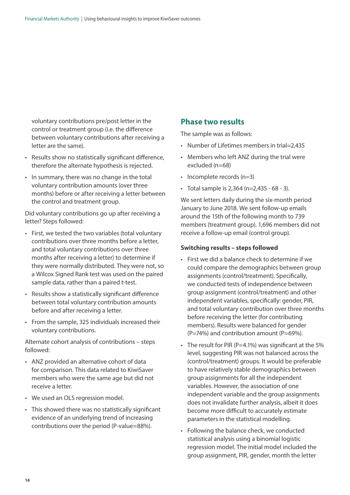voluntary contributions pre/post letter in the control or treatment group (i.e. the difference between voluntary contributions after receiving a letter are the same).

- Results show no statistically significant difference, therefore the alternate hypothesis is rejected.
- In summary, there was no change in the total voluntary contribution amounts (over three months) before or after receiving a letter between the control and treatment group.

Did voluntary contributions go up after receiving a letter? Steps followed:

- First, we tested the two variables (total voluntary contributions over three months before a letter, and total voluntary contributions over three months after receiving a letter) to determine if they were normally distributed. They were not, so a Wilcox Signed Rank test was used on the paired sample data, rather than a paired t-test.
- Results show a statistically significant difference between total voluntary contribution amounts before and after receiving a letter.
- From the sample, 325 individuals increased their voluntary contributions.

Alternate cohort analysis of contributions – steps followed:

- ANZ provided an alternative cohort of data for comparison. This data related to KiwiSaver members who were the same age but did not receive a letter.
- We used an OLS regression model.
- This showed there was no statistically significant evidence of an underlying trend of increasing contributions over the period (P-value=88%).

## **Phase two results**

The sample was as follows:

- Number of Lifetimes members in trial=2,435
- Members who left ANZ during the trial were excluded (n=68)
- Incomplete records (n=3)
- $\cdot$  Total sample is 2,364 (n=2,435 68 3).

We sent letters daily during the six-month period January to June 2018. We sent follow-up emails around the 15th of the following month to 739 members (treatment group). 1,696 members did not receive a follow-up email (control group).

#### **Switching results – steps followed**

- First we did a balance check to determine if we could compare the demographics between group assignments (control/treatment). Specifically, we conducted tests of independence between group assignment (control/treatment) and other independent variables, specifically: gender, PIR, and total voluntary contribution over three months before receiving the letter (for contributing members). Results were balanced for gender  $(P=74%)$  and contribution amount  $(P=69%).$
- The result for PIR (P=4.1%) was significant at the 5% level, suggesting PIR was not balanced across the (control/treatment) groups. It would be preferable to have relatively stable demographics between group assignments for all the independent variables. However, the association of one independent variable and the group assignments does not invalidate further analysis, albeit it does become more difficult to accurately estimate parameters in the statistical modelling.
- Following the balance check, we conducted statistical analysis using a binomial logistic regression model. The initial model included the group assignment, PIR, gender, month the letter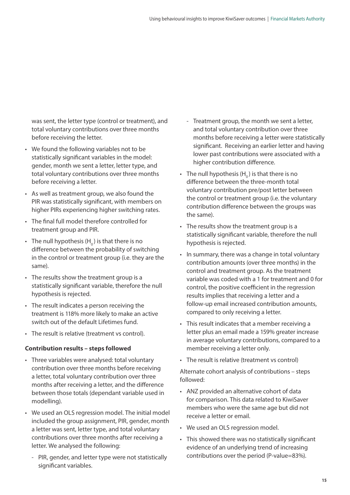was sent, the letter type (control or treatment), and total voluntary contributions over three months before receiving the letter.

- We found the following variables not to be statistically significant variables in the model: gender, month we sent a letter, letter type, and total voluntary contributions over three months before receiving a letter.
- As well as treatment group, we also found the PIR was statistically significant, with members on higher PIRs experiencing higher switching rates.
- The final full model therefore controlled for treatment group and PIR.
- The null hypothesis  $(H_0)$  is that there is no difference between the probability of switching in the control or treatment group (i.e. they are the same).
- The results show the treatment group is a statistically significant variable, therefore the null hypothesis is rejected.
- The result indicates a person receiving the treatment is 118% more likely to make an active switch out of the default Lifetimes fund.
- The result is relative (treatment vs control).

### **Contribution results – steps followed**

- Three variables were analysed: total voluntary contribution over three months before receiving a letter, total voluntary contribution over three months after receiving a letter, and the difference between those totals (dependant variable used in modelling).
- We used an OLS regression model. The initial model included the group assignment, PIR, gender, month a letter was sent, letter type, and total voluntary contributions over three months after receiving a letter. We analysed the following:
	- PIR, gender, and letter type were not statistically significant variables.
- Treatment group, the month we sent a letter, and total voluntary contribution over three months before receiving a letter were statistically significant. Receiving an earlier letter and having lower past contributions were associated with a higher contribution difference.
- The null hypothesis  $(H_0)$  is that there is no difference between the three-month total voluntary contribution pre/post letter between the control or treatment group (i.e. the voluntary contribution difference between the groups was the same).
- The results show the treatment group is a statistically significant variable, therefore the null hypothesis is rejected.
- In summary, there was a change in total voluntary contribution amounts (over three months) in the control and treatment group. As the treatment variable was coded with a 1 for treatment and 0 for control, the positive coefficient in the regression results implies that receiving a letter and a follow-up email increased contribution amounts, compared to only receiving a letter.
- This result indicates that a member receiving a letter plus an email made a 159% greater increase in average voluntary contributions, compared to a member receiving a letter only.
- The result is relative (treatment vs control)

Alternate cohort analysis of contributions – steps followed:

- ANZ provided an alternative cohort of data for comparison. This data related to KiwiSaver members who were the same age but did not receive a letter or email.
- We used an OLS regression model.
- This showed there was no statistically significant evidence of an underlying trend of increasing contributions over the period (P-value=83%).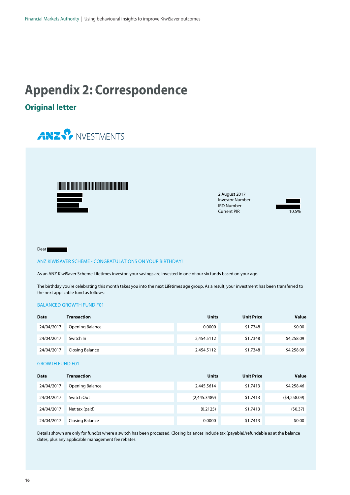# **Appendix 2: Correspondence**

# **Original letter**



ANZ KIWISAVER SCHEME - CONGRATULATIONS ON YOUR BIRTHDAY!

As an ANZ KiwiSaver Scheme Lifetimes investor, your savings are invested in one of our six funds based on your age.

The birthday you're celebrating this month takes you into the next Lifetimes age group. As a result, your investment has been transferred to the next applicable fund as follows:

#### BALANCED GROWTH FUND F01

| <b>Date</b> | <b>Transaction</b> | <b>Units</b> | <b>Unit Price</b> | <b>Value</b> |
|-------------|--------------------|--------------|-------------------|--------------|
| 24/04/2017  | Opening Balance    | 0.0000       | \$1.7348          | \$0.00       |
| 24/04/2017  | Switch In          | 2,454.5112   | \$1.7348          | \$4,258.09   |
| 24/04/2017  | Closing Balance    | 2,454.5112   | \$1.7348          | \$4,258.09   |

#### GROWTH FUND F01

| <b>Date</b> | <b>Transaction</b> | <b>Units</b> | <b>Unit Price</b> | Value        |
|-------------|--------------------|--------------|-------------------|--------------|
| 24/04/2017  | Opening Balance    | 2,445.5614   | \$1.7413          | \$4,258.46   |
| 24/04/2017  | Switch Out         | (2,445.3489) | \$1.7413          | (54, 258.09) |
| 24/04/2017  | Net tax (paid)     | (0.2125)     | \$1.7413          | (50.37)      |
| 24/04/2017  | Closing Balance    | 0.0000       | \$1.7413          | \$0.00       |

Details shown are only for fund(s) where a switch has been processed. Closing balances include tax (payable)/refundable as at the balance dates, plus any applicable management fee rebates.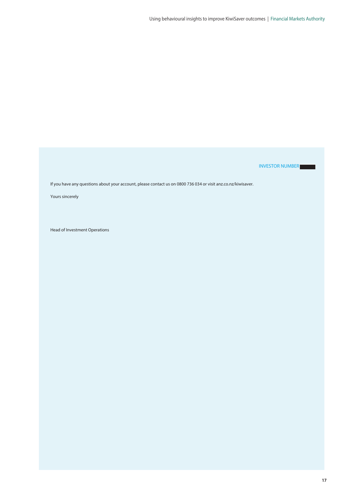INVESTOR NUMBER

Ξ

If you have any questions about your account, please contact us on 0800 736 034 or visit anz.co.nz/kiwisaver.

Yours sincerely

Head of Investment Operations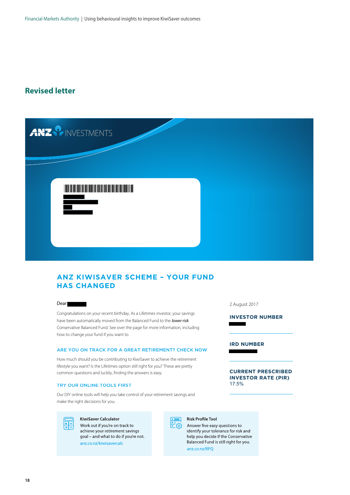## **Revised letter**



## **ANZ KIWISAVER SCHEME – YOUR FUND HAS CHANGED**

#### Dear<sub>1</sub>

Congratulations on your recent birthday. As a Lifetimes investor, your savings have been automatically moved from the Balanced Fund to the *lower risk* Conservative Balanced Fund. See over the page for more information, including how to change your fund if you want to.

#### ARE YOU ON TRACK FOR A GREAT RETIREMENT? CHECK NOW

How much should you be contributing to KiwiSaver to achieve the retirement lifestyle you want? Is the Lifetimes option still right for you? These are pretty common questions and luckily, finding the answers is easy.

#### TRY OUR ONLINE TOOLS FIRST

Our DIY online tools will help you take control of your retirement savings and make the right decisions for you.



#### **KiwiSaver Calculator**

Work out if you're on track to achieve your retirement savings goal - and what to do if you're not. anz.co.nz/kiwisavercalc

 $\{0\}$ 

2 August 2017

 $\overline{\phantom{0}}$ 

#### **INVESTOR NUMBER**

 $\overline{\phantom{a}}$ 

### **IRD NUMBER**

#### **CURRENT PRESCRIBED INVESTOR RATE (PIR)** 17.5%

**Risk Profile Tool** 

Answer five easy questions to identify your tolerance for risk and help you decide if the Conservative Balanced Fund is still right for you. anz.co.nz/RPQ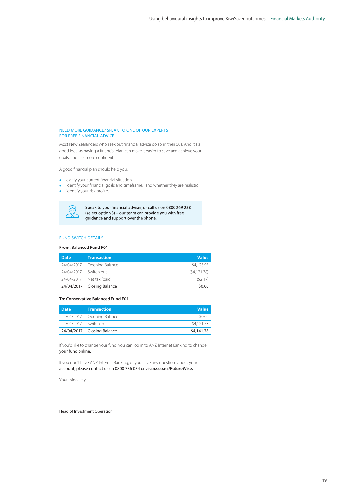#### NEED MORE GUIDANCE? SPEAK TO ONE OF OUR EXPERTS FOR FREE FINANCIAL ADVICE

Most New Zealanders who seek out financial advice do so in their 50s. And it's a good idea, as having a financial plan can make it easier to save and achieve your goals, and feel more confident.

A good financial plan should help you:

- clarify your current financial situation
- identify your financial goals and timeframes, and whether they are realistic
- $\bullet$  identify your risk profile.



Speak to your financial adviser, or call us on 0800 269 238 (select option 3) - our team can provide you with free guidance and support over the phone.

#### FUND SWITCH DETAILS

#### **From: Balanced Fund F01**

| <b>Date</b> | <b>Transaction</b> | <b>Value</b> |
|-------------|--------------------|--------------|
| 24/04/2017  | Opening Balance    | \$4,123.95   |
| 24/04/2017  | Switch out         | (S4.121.78)  |
| 24/04/2017  | Net tax (paid)     | (52.17)      |
| 24/04/2017  | Closing Balance    | \$0.00       |

#### **To: Conservative Balanced Fund F01**

| <b>Date</b>          | <b>Transaction</b>         | <b>Value</b> |
|----------------------|----------------------------|--------------|
|                      | 24/04/2017 Opening Balance | \$0.00       |
| 24/04/2017 Switch in |                            | \$4,121,78   |
|                      | 24/04/2017 Closing Balance | \$4,141.78   |

If you'd like to change your fund, you can log in to ANZ Internet Banking to change your fund online.

If you don't have ANZ Internet Banking, or you have any questions about your account, please contact us on 0800 736 034 or visitnz.co.nz/FutureWise.

Yours sincerely

Head of Investment Operation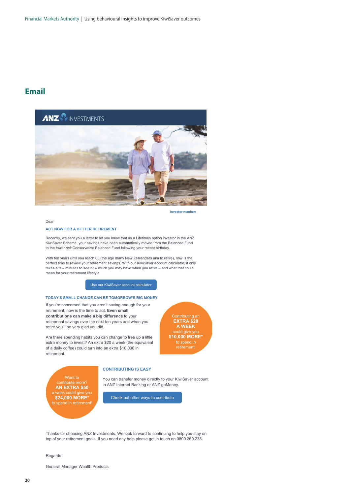#### **To:** Lynn, Rachel **Subject:** Are you on track for the retirement you want? Check now **Email**



**Investor number:** 

Dear

#### **ACT NOW FOR A BETTER RETIREMENT**

Recently, we sent you a letter to let you know that as a Lifetimes option investor in the ANZ KiwiSaver Scheme, your savings have been automatically moved from the Balanced Fund to the *lower risk* Conservative Balanced Fund following your recent birthday.

With ten years until you reach 65 (the age many New Zealanders aim to retire), now is the perfect time to review your retirement savings. With our KiwiSaver account calculator, it only takes a few minutes to see how much you may have when you retire – and what that could mean for your retirement lifestyle.

Use our KiwiSaver account calculator

#### **TODAY'S SMALL CHANGE CAN BE TOMORROW'S BIG MONEY**

If you're concerned that you aren't saving enough for your retirement, now is the time to act. **Even small contributions can make a big difference** to your retirement savings over the next ten years and when you retire you'll be very glad you did.

Are there spending habits you can change to free up a little extra money to invest? An extra \$20 a week (the equivalent of a daily coffee) could turn into an extra \$10,000 in retirement.

Contributing an **EXTRA \$20 A WEEK** could give you **\$10,000 MORE\*** to spend in

#### **CONTRIBUTING IS EASY**

You can transfer money directly to your KiwiSaver account in ANZ Internet Banking or ANZ goMoney.

contribute more? **AN EXTRA \$50 \$24,000 MORE\*** to spend in retirement

Check out other ways to contribute

Thanks for choosing ANZ Investments. We look forward to continuing to help you stay on top of your retirement goals. If you need any help please get in touch on 0800 269 238.

#### Regards

General Manager Wealth Products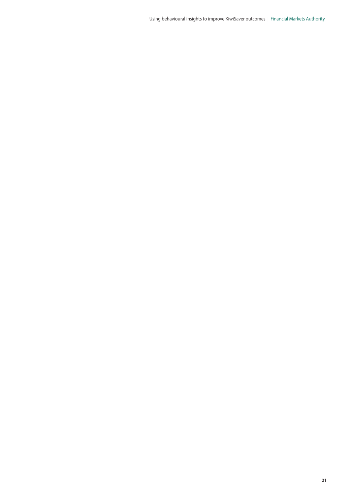Using behavioural insights to improve KiwiSaver outcomes | Financial Markets Authority